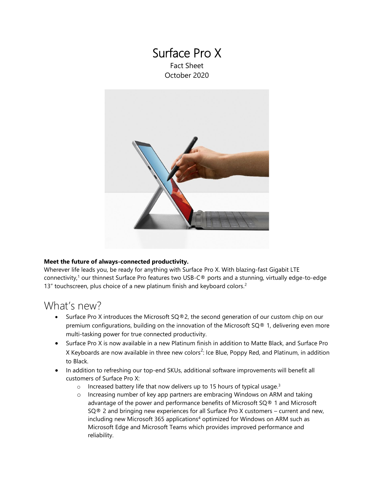### Surface Pro X Fact Sheet October 2020



### **Meet the future of always-connected productivity.**

<span id="page-0-2"></span>Wherever life leads you, be ready for anything with Surface Pro X. With blazing-fast Gigabit LTE connectivity,<sup>1</sup> our thinnest Surface Pro features two USB-C® ports and a stunning, virtually edge-to-edge 13" touchscreen, plus choice of a new platinum finish and keyboard colors.<sup>2</sup>

## What's new?

- <span id="page-0-0"></span>Surface Pro X introduces the Microsoft  $SQ@2$ , the second generation of our custom chip on our premium configurations, building on the innovation of the Microsoft SQ® 1, delivering even more multi-tasking power for true connected productivity.
- Surface Pro X is now available in a new Platinum finish in addition to Matte Black, and Surface Pro X Keyboards are now available in three new colors<sup>[2](#page-0-0)</sup>: Ice Blue, Poppy Red, and Platinum, in addition to Black.
- <span id="page-0-3"></span><span id="page-0-1"></span>• In addition to refreshing our top-end SKUs, additional software improvements will benefit all customers of Surface Pro X:
	- $\circ$  Increased battery life that now delivers up to 15 hours of typical usage.<sup>3</sup>
	- o Increasing number of key app partners are embracing Windows on ARM and taking advantage of the power and performance benefits of Microsoft SQ® 1 and Microsoft  $SQ@2$  and bringing new experiences for all Surface Pro X customers – current and new, including new Microsoft 365 applications<sup>4</sup> optimized for Windows on ARM such as Microsoft Edge and Microsoft Teams which provides improved performance and reliability.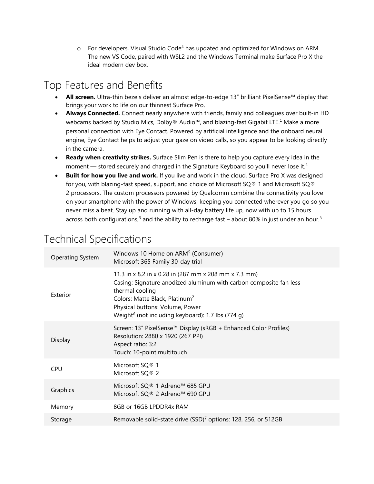$\circ$  For developers, Visual Studio Code<sup>[4](#page-0-1)</sup> has updated and optimized for Windows on ARM. The new VS Code, paired with WSL2 and the Windows Terminal make Surface Pro X the ideal modern dev box.

## Top Features and Benefits

- **All screen.** Ultra-thin bezels deliver an almost edge-to-edge 13" brilliant PixelSense™ display that brings your work to life on our thinnest Surface Pro.
- **Always Connected.** Connect nearly anywhere with friends, family and colleagues over built-in HD webcams backed by Studio Mics, Dolby® Audio™, and blazing-fast Gigabit LTE.<sup>[1](#page-0-2)</sup> Make a more personal connection with Eye Contact. Powered by artificial intelligence and the onboard neural engine, Eye Contact helps to adjust your gaze on video calls, so you appear to be looking directly in the camera.
- **Ready when creativity strikes.** Surface Slim Pen is there to help you capture every idea in the moment — stored securely and charged in the Signature Keyboard so you'll never lose it.<sup>[4](#page-0-1)</sup>
- **Built for how you live and work.** If you live and work in the cloud, Surface Pro X was designed for you, with blazing-fast speed, support, and choice of Microsoft SQ® 1 and Microsoft SQ® 2 processors. The custom processors powered by Qualcomm combine the connectivity you love on your smartphone with the power of Windows, keeping you connected wherever you go so you never miss a beat. Stay up and running with all-day battery life up, now with up to 15 hours across both configurations, $3$  and the ability to recharge fast – about 80% in just under an hou[r.](#page-0-3) $3$

# Technical Specifications

| Operating System | Windows 10 Home on ARM <sup>5</sup> (Consumer)<br>Microsoft 365 Family 30-day trial                                                                                                                                                                                                              |
|------------------|--------------------------------------------------------------------------------------------------------------------------------------------------------------------------------------------------------------------------------------------------------------------------------------------------|
| Exterior         | 11.3 in x 8.2 in x 0.28 in (287 mm x 208 mm x 7.3 mm)<br>Casing: Signature anodized aluminum with carbon composite fan less<br>thermal cooling<br>Colors: Matte Black, Platinum <sup>2</sup><br>Physical buttons: Volume, Power<br>Weight <sup>6</sup> (not including keyboard): 1.7 lbs (774 g) |
| Display          | Screen: 13″ PixelSense™ Display (sRGB + Enhanced Color Profiles)<br>Resolution: 2880 x 1920 (267 PPI)<br>Aspect ratio: 3:2<br>Touch: 10-point multitouch                                                                                                                                         |
| <b>CPU</b>       | Microsoft SQ® 1<br>Microsoft SQ® 2                                                                                                                                                                                                                                                               |
| Graphics         | Microsoft SQ® 1 Adreno™ 685 GPU<br>Microsoft SQ® 2 Adreno™ 690 GPU                                                                                                                                                                                                                               |
| Memory           | 8GB or 16GB LPDDR4x RAM                                                                                                                                                                                                                                                                          |
| Storage          | Removable solid-state drive (SSD) <sup>7</sup> options: 128, 256, or 512GB                                                                                                                                                                                                                       |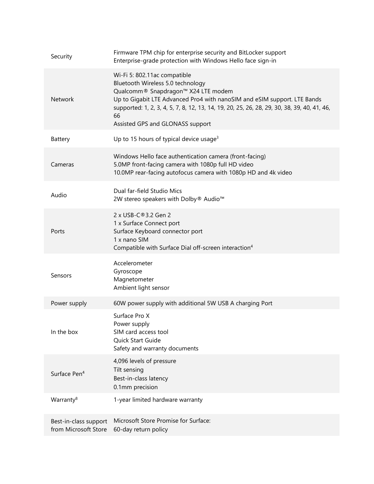| Security                                      | Firmware TPM chip for enterprise security and BitLocker support<br>Enterprise-grade protection with Windows Hello face sign-in                                                                                                                                                                                                |
|-----------------------------------------------|-------------------------------------------------------------------------------------------------------------------------------------------------------------------------------------------------------------------------------------------------------------------------------------------------------------------------------|
| <b>Network</b>                                | Wi-Fi 5: 802.11ac compatible<br>Bluetooth Wireless 5.0 technology<br>Qualcomm® Snapdragon™ X24 LTE modem<br>Up to Gigabit LTE Advanced Pro4 with nanoSIM and eSIM support. LTE Bands<br>supported: 1, 2, 3, 4, 5, 7, 8, 12, 13, 14, 19, 20, 25, 26, 28, 29, 30, 38, 39, 40, 41, 46,<br>66<br>Assisted GPS and GLONASS support |
| Battery                                       | Up to 15 hours of typical device usage <sup>3</sup>                                                                                                                                                                                                                                                                           |
| Cameras                                       | Windows Hello face authentication camera (front-facing)<br>5.0MP front-facing camera with 1080p full HD video<br>10.0MP rear-facing autofocus camera with 1080p HD and 4k video                                                                                                                                               |
| Audio                                         | Dual far-field Studio Mics<br>2W stereo speakers with Dolby® Audio™                                                                                                                                                                                                                                                           |
| Ports                                         | 2 x USB-C®3.2 Gen 2<br>1 x Surface Connect port<br>Surface Keyboard connector port<br>1 x nano SIM<br>Compatible with Surface Dial off-screen interaction <sup>4</sup>                                                                                                                                                        |
| Sensors                                       | Accelerometer<br>Gyroscope<br>Magnetometer<br>Ambient light sensor                                                                                                                                                                                                                                                            |
| Power supply                                  | 60W power supply with additional 5W USB A charging Port                                                                                                                                                                                                                                                                       |
| In the box                                    | Surface Pro X<br>Power supply<br>SIM card access tool<br>Quick Start Guide<br>Safety and warranty documents                                                                                                                                                                                                                   |
| Surface Pen <sup>4</sup>                      | 4,096 levels of pressure<br>Tilt sensing<br>Best-in-class latency<br>0.1mm precision                                                                                                                                                                                                                                          |
| Warranty <sup>8</sup>                         | 1-year limited hardware warranty                                                                                                                                                                                                                                                                                              |
| Best-in-class support<br>from Microsoft Store | Microsoft Store Promise for Surface:<br>60-day return policy                                                                                                                                                                                                                                                                  |
|                                               |                                                                                                                                                                                                                                                                                                                               |